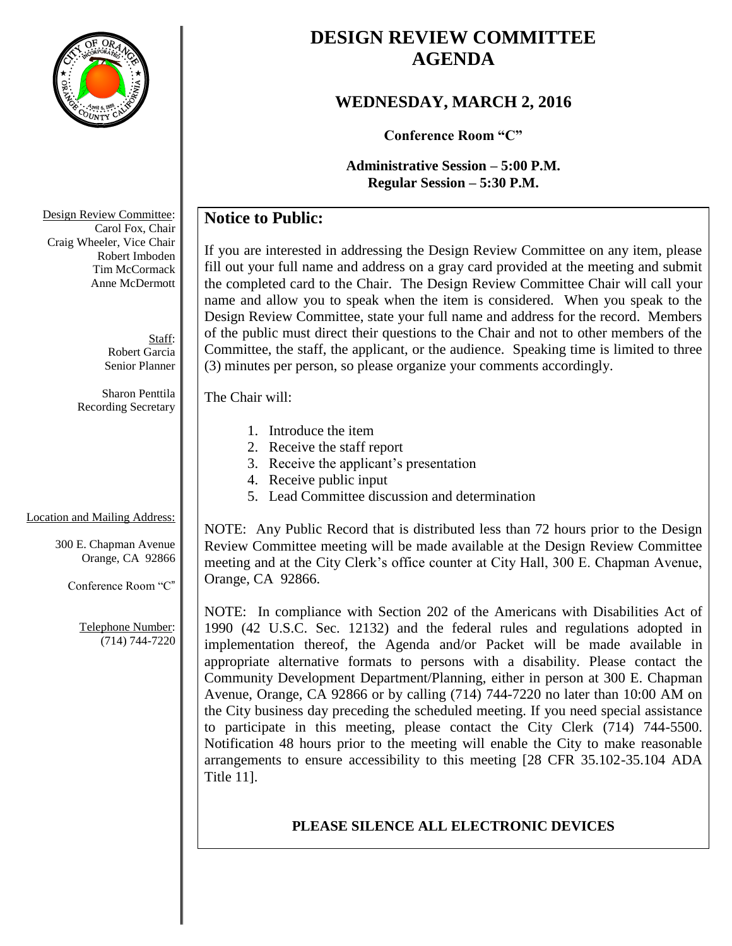

# **DESIGN REVIEW COMMITTEE AGENDA**

## **WEDNESDAY, MARCH 2, 2016**

**Conference Room "C"**

**Administrative Session – 5:00 P.M. Regular Session – 5:30 P.M.**

## **Notice to Public:**

If you are interested in addressing the Design Review Committee on any item, please fill out your full name and address on a gray card provided at the meeting and submit the completed card to the Chair. The Design Review Committee Chair will call your name and allow you to speak when the item is considered. When you speak to the Design Review Committee, state your full name and address for the record. Members of the public must direct their questions to the Chair and not to other members of the Committee, the staff, the applicant, or the audience. Speaking time is limited to three (3) minutes per person, so please organize your comments accordingly.

The Chair will:

- 1. Introduce the item
- 2. Receive the staff report
- 3. Receive the applicant's presentation
- 4. Receive public input
- 5. Lead Committee discussion and determination

NOTE: Any Public Record that is distributed less than 72 hours prior to the Design Review Committee meeting will be made available at the Design Review Committee meeting and at the City Clerk's office counter at City Hall, 300 E. Chapman Avenue, Orange, CA 92866.

NOTE: In compliance with Section 202 of the Americans with Disabilities Act of 1990 (42 U.S.C. Sec. 12132) and the federal rules and regulations adopted in implementation thereof, the Agenda and/or Packet will be made available in appropriate alternative formats to persons with a disability. Please contact the Community Development Department/Planning, either in person at 300 E. Chapman Avenue, Orange, CA 92866 or by calling (714) 744-7220 no later than 10:00 AM on the City business day preceding the scheduled meeting. If you need special assistance to participate in this meeting, please contact the City Clerk (714) 744-5500. Notification 48 hours prior to the meeting will enable the City to make reasonable arrangements to ensure accessibility to this meeting [28 CFR 35.102-35.104 ADA Title 11].

### **PLEASE SILENCE ALL ELECTRONIC DEVICES**

Design Review Committee: Carol Fox, Chair Craig Wheeler, Vice Chair Robert Imboden Tim McCormack Anne McDermott

> Staff: Robert Garcia Senior Planner

Sharon Penttila Recording Secretary

#### Location and Mailing Address:

300 E. Chapman Avenue Orange, CA 92866

Conference Room "C"

Telephone Number: (714) 744-7220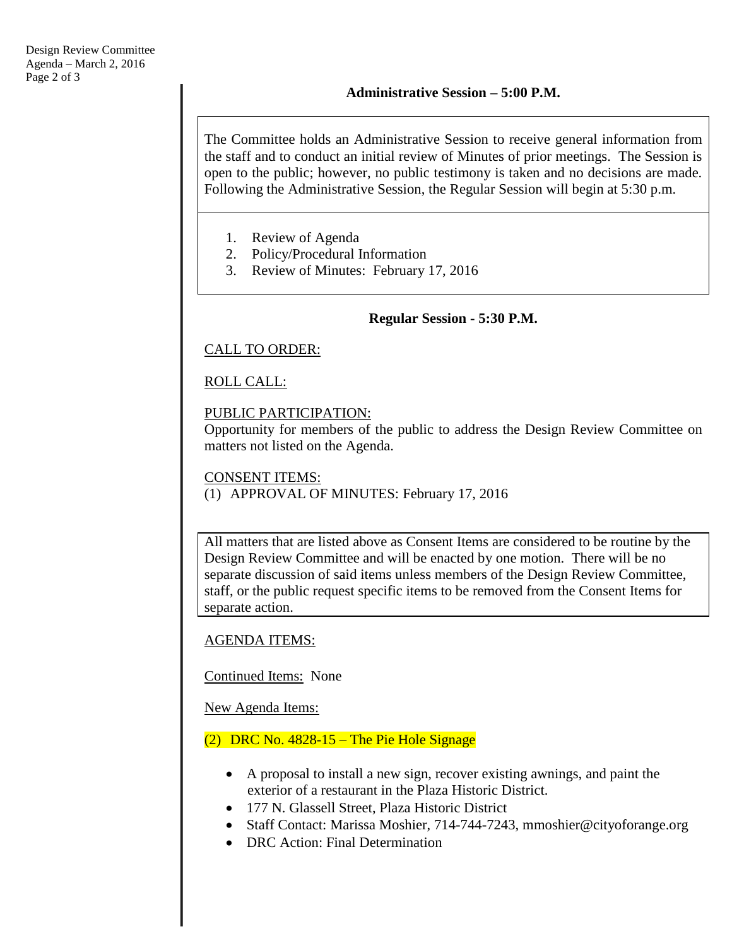The Committee holds an Administrative Session to receive general information from the staff and to conduct an initial review of Minutes of prior meetings. The Session is open to the public; however, no public testimony is taken and no decisions are made. Following the Administrative Session, the Regular Session will begin at 5:30 p.m.

- 1. Review of Agenda
- 2. Policy/Procedural Information
- 3. Review of Minutes: February 17, 2016

#### **Regular Session - 5:30 P.M.**

#### CALL TO ORDER:

### ROLL CALL:

#### PUBLIC PARTICIPATION:

Opportunity for members of the public to address the Design Review Committee on matters not listed on the Agenda.

#### CONSENT ITEMS: (1) APPROVAL OF MINUTES: February 17, 2016

All matters that are listed above as Consent Items are considered to be routine by the Design Review Committee and will be enacted by one motion. There will be no separate discussion of said items unless members of the Design Review Committee, staff, or the public request specific items to be removed from the Consent Items for separate action.

### AGENDA ITEMS:

### Continued Items: None

New Agenda Items:

### $(2)$  DRC No. 4828-15 – The Pie Hole Signage

- A proposal to install a new sign, recover existing awnings, and paint the exterior of a restaurant in the Plaza Historic District.
- 177 N. Glassell Street, Plaza Historic District
- Staff Contact: Marissa Moshier, 714-744-7243, mmoshier@cityoforange.org
- DRC Action: Final Determination